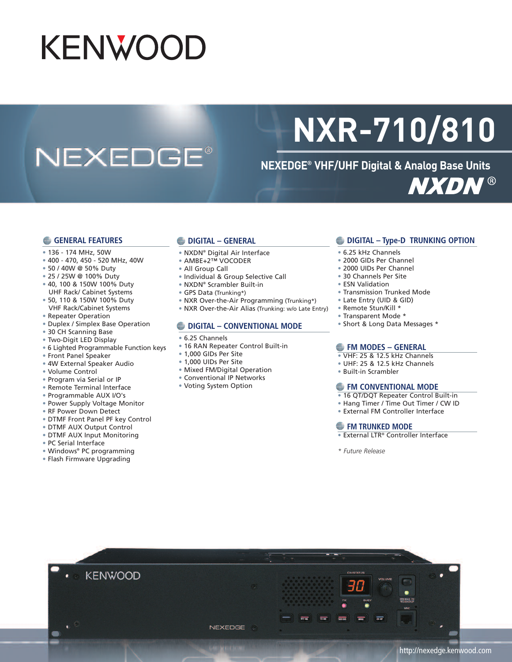# **KENWOOD**

## **NEXEDGE®**

# **NXR-710/810**

**NEXEDGE® VHF/UHF Digital & Analog Base Units NXDN®** 

#### **GENERAL FEATURES**

- 136 174 MHz, 50W
- 400 470, 450 520 MHz, 40W
- 50 / 40W @ 50% Duty
- 25 / 25W @ 100% Duty
- 40, 100 & 150W 100% Duty UHF Rack/ Cabinet Systems
- 50, 110 & 150W 100% Duty VHF Rack/Cabinet Systems
- Repeater Operation
- Duplex / Simplex Base Operation
- 30 CH Scanning Base
- Two-Digit LED Display
- 6 Lighted Programmable Function keys
- Front Panel Speaker
- 4W External Speaker Audio
- Volume Control
- Program via Serial or IP
- Remote Terminal Interface
- Programmable AUX I/O's
- Power Supply Voltage Monitor
- RF Power Down Detect
- DTMF Front Panel PF key Control
- DTMF AUX Output Control
- DTMF AUX Input Monitoring
- PC Serial Interface
- Windows® PC programming
- Flash Firmware Upgrading

### **DIGITAL – GENERAL**

- NXDN® Digital Air Interface
- AMBE+2™ VOCODER
- All Group Call
- Individual & Group Selective Call
- NXDN® Scrambler Built-in
- GPS Data (Trunking\*)
- NXR Over-the-Air Programming (Trunking\*)
- NXR Over-the-Air Alias (Trunking: w/o Late Entry)

#### **DIGITAL – CONVENTIONAL MODE**

- 6.25 Channels
- 16 RAN Repeater Control Built-in
- 1,000 GIDs Per Site
- Mixed FM/Digital Operation
- 
- Voting System Option

#### **DIGITAL – Type-D TRUNKING OPTION**

- 6.25 kHz Channels
- 2000 GIDs Per Channel
- 2000 UIDs Per Channel
- 30 Channels Per Site
- ESN Validation
- Transmission Trunked Mode
- Late Entry (UID & GID)
- Remote Stun/Kill \*
- Transparent Mode \*
- Short & Long Data Messages \*

#### **FM MODES – GENERAL**

- VHF: 25 & 12.5 kHz Channels
- UHF: 25 & 12.5 kHz Channels
- Built-in Scrambler

#### **FM CONVENTIONAL MODE**

- 16 QT/DQT Repeater Control Built-in
- Hang Timer / Time Out Timer / CW ID
- External FM Controller Interface

#### **FM TRUNKED MODE**

- External LTR® Controller Interface
- *\* Future Release*



## • 1,000 UIDs Per Site

- Conventional IP Networks
-